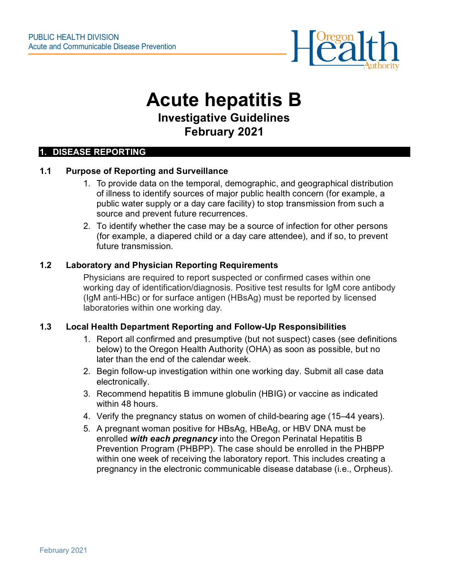

## **Acute hepatitis B Investigative Guidelines February 2021**

#### **1. DISEASE REPORTING**

## **1.1 Purpose of Reporting and Surveillance**

- 1. To provide data on the temporal, demographic, and geographical distribution of illness to identify sources of major public health concern (for example, a public water supply or a day care facility) to stop transmission from such a source and prevent future recurrences.
- 2. To identify whether the case may be a source of infection for other persons (for example, a diapered child or a day care attendee), and if so, to prevent future transmission.

#### **1.2 Laboratory and Physician Reporting Requirements**

Physicians are required to report suspected or confirmed cases within one working day of identification/diagnosis. Positive test results for IgM core antibody (IgM anti-HBc) or for surface antigen (HBsAg) must be reported by licensed laboratories within one working day.

#### **1.3 Local Health Department Reporting and Follow-Up Responsibilities**

- 1. Report all confirmed and presumptive (but not suspect) cases (see definitions below) to the Oregon Health Authority (OHA) as soon as possible, but no later than the end of the calendar week.
- 2. Begin follow-up investigation within one working day. Submit all case data electronically.
- 3. Recommend hepatitis B immune globulin (HBIG) or vaccine as indicated within 48 hours.
- 4. Verify the pregnancy status on women of child-bearing age (15–44 years).
- 5. A pregnant woman positive for HBsAg, HBeAg, or HBV DNA must be enrolled *with each pregnancy* into the Oregon Perinatal Hepatitis B Prevention Program (PHBPP). The case should be enrolled in the PHBPP within one week of receiving the laboratory report. This includes creating a pregnancy in the electronic communicable disease database (i.e., Orpheus).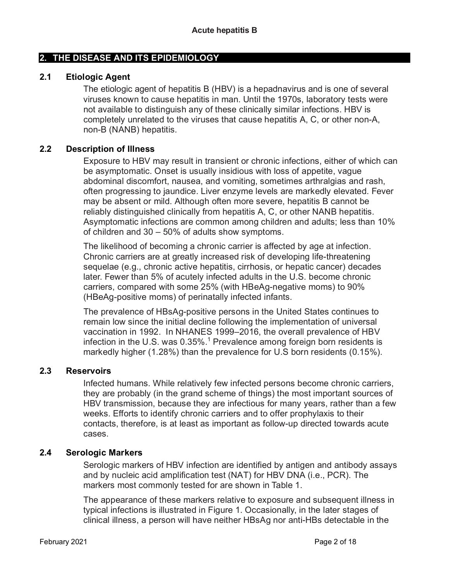## **2. THE DISEASE AND ITS EPIDEMIOLOGY**

## **2.1 Etiologic Agent**

The etiologic agent of hepatitis B (HBV) is a hepadnavirus and is one of several viruses known to cause hepatitis in man. Until the 1970s, laboratory tests were not available to distinguish any of these clinically similar infections. HBV is completely unrelated to the viruses that cause hepatitis A, C, or other non-A, non-B (NANB) hepatitis.

## **2.2 Description of Illness**

Exposure to HBV may result in transient or chronic infections, either of which can be asymptomatic. Onset is usually insidious with loss of appetite, vague abdominal discomfort, nausea, and vomiting, sometimes arthralgias and rash, often progressing to jaundice. Liver enzyme levels are markedly elevated. Fever may be absent or mild. Although often more severe, hepatitis B cannot be reliably distinguished clinically from hepatitis A, C, or other NANB hepatitis. Asymptomatic infections are common among children and adults; less than 10% of children and 30 – 50% of adults show symptoms.

The likelihood of becoming a chronic carrier is affected by age at infection. Chronic carriers are at greatly increased risk of developing life-threatening sequelae (e.g., chronic active hepatitis, cirrhosis, or hepatic cancer) decades later. Fewer than 5% of acutely infected adults in the U.S. become chronic carriers, compared with some 25% (with HBeAg-negative moms) to 90% (HBeAg-positive moms) of perinatally infected infants.

The prevalence of HBsAg-positive persons in the United States continues to remain low since the initial decline following the implementation of universal vaccination in 1992. In NHANES 1999–2016, the overall prevalence of HBV infection in the U.S. was  $0.35\%$ <sup>1</sup> Prevalence among foreign born residents is markedly higher (1.28%) than the prevalence for U.S born residents (0.15%).

## **2.3 Reservoirs**

Infected humans. While relatively few infected persons become chronic carriers, they are probably (in the grand scheme of things) the most important sources of HBV transmission, because they are infectious for many years, rather than a few weeks. Efforts to identify chronic carriers and to offer prophylaxis to their contacts, therefore, is at least as important as follow-up directed towards acute cases.

## **2.4 Serologic Markers**

Serologic markers of HBV infection are identified by antigen and antibody assays and by nucleic acid amplification test (NAT) for HBV DNA (i.e., PCR). The markers most commonly tested for are shown in Table 1.

The appearance of these markers relative to exposure and subsequent illness in typical infections is illustrated in Figure 1. Occasionally, in the later stages of clinical illness, a person will have neither HBsAg nor anti-HBs detectable in the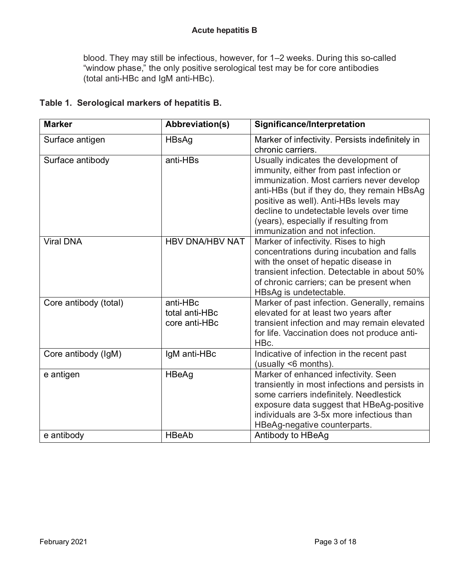blood. They may still be infectious, however, for 1–2 weeks. During this so-called "window phase," the only positive serological test may be for core antibodies (total anti-HBc and IgM anti-HBc).

| <b>Marker</b>         | <b>Abbreviation(s)</b>                      | Significance/Interpretation                                                                                                                                                                                                                                                                                                                   |
|-----------------------|---------------------------------------------|-----------------------------------------------------------------------------------------------------------------------------------------------------------------------------------------------------------------------------------------------------------------------------------------------------------------------------------------------|
| Surface antigen       | HBsAg                                       | Marker of infectivity. Persists indefinitely in<br>chronic carriers.                                                                                                                                                                                                                                                                          |
| Surface antibody      | anti-HBs                                    | Usually indicates the development of<br>immunity, either from past infection or<br>immunization. Most carriers never develop<br>anti-HBs (but if they do, they remain HBsAg<br>positive as well). Anti-HBs levels may<br>decline to undetectable levels over time<br>(years), especially if resulting from<br>immunization and not infection. |
| <b>Viral DNA</b>      | <b>HBV DNA/HBV NAT</b>                      | Marker of infectivity. Rises to high<br>concentrations during incubation and falls<br>with the onset of hepatic disease in<br>transient infection. Detectable in about 50%<br>of chronic carriers; can be present when<br>HBsAg is undetectable.                                                                                              |
| Core antibody (total) | anti-HBc<br>total anti-HBc<br>core anti-HBc | Marker of past infection. Generally, remains<br>elevated for at least two years after<br>transient infection and may remain elevated<br>for life. Vaccination does not produce anti-<br>HBc.                                                                                                                                                  |
| Core antibody (IgM)   | IgM anti-HBc                                | Indicative of infection in the recent past<br>(usually <6 months).                                                                                                                                                                                                                                                                            |
| e antigen             | <b>HBeAg</b>                                | Marker of enhanced infectivity. Seen<br>transiently in most infections and persists in<br>some carriers indefinitely. Needlestick<br>exposure data suggest that HBeAg-positive<br>individuals are 3-5x more infectious than<br>HBeAg-negative counterparts.                                                                                   |
| e antibody            | <b>HBeAb</b>                                | Antibody to HBeAg                                                                                                                                                                                                                                                                                                                             |

## **Table 1. Serological markers of hepatitis B.**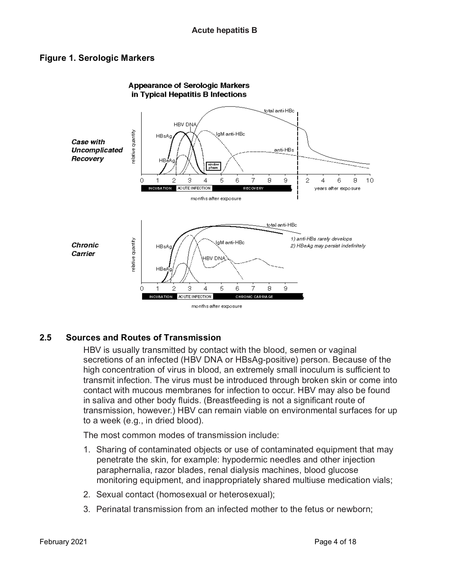## **Figure 1. Serologic Markers**



# **Appearance of Serologic Markers**

## **2.5 Sources and Routes of Transmission**

HBV is usually transmitted by contact with the blood, semen or vaginal secretions of an infected (HBV DNA or HBsAg-positive) person. Because of the high concentration of virus in blood, an extremely small inoculum is sufficient to transmit infection. The virus must be introduced through broken skin or come into contact with mucous membranes for infection to occur. HBV may also be found in saliva and other body fluids. (Breastfeeding is not a significant route of transmission, however.) HBV can remain viable on environmental surfaces for up to a week (e.g., in dried blood).

The most common modes of transmission include:

- 1. Sharing of contaminated objects or use of contaminated equipment that may penetrate the skin, for example: hypodermic needles and other injection paraphernalia, razor blades, renal dialysis machines, blood glucose monitoring equipment, and inappropriately shared multiuse medication vials;
- 2. Sexual contact (homosexual or heterosexual);
- 3. Perinatal transmission from an infected mother to the fetus or newborn;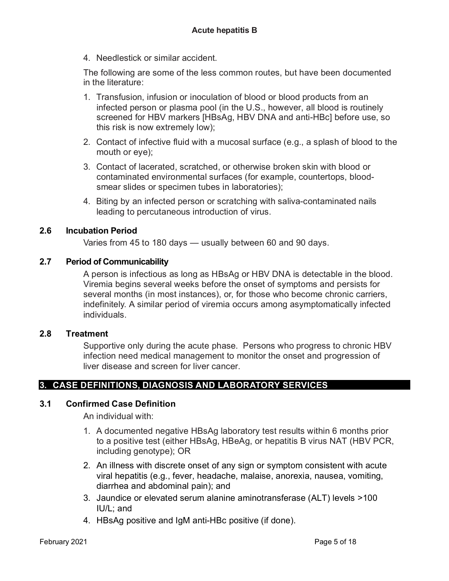4. Needlestick or similar accident.

The following are some of the less common routes, but have been documented in the literature:

- 1. Transfusion, infusion or inoculation of blood or blood products from an infected person or plasma pool (in the U.S., however, all blood is routinely screened for HBV markers [HBsAg, HBV DNA and anti-HBc] before use, so this risk is now extremely low);
- 2. Contact of infective fluid with a mucosal surface (e.g., a splash of blood to the mouth or eye);
- 3. Contact of lacerated, scratched, or otherwise broken skin with blood or contaminated environmental surfaces (for example, countertops, bloodsmear slides or specimen tubes in laboratories);
- 4. Biting by an infected person or scratching with saliva-contaminated nails leading to percutaneous introduction of virus.

## **2.6 Incubation Period**

Varies from 45 to 180 days — usually between 60 and 90 days.

## **2.7 Period of Communicability**

A person is infectious as long as HBsAg or HBV DNA is detectable in the blood. Viremia begins several weeks before the onset of symptoms and persists for several months (in most instances), or, for those who become chronic carriers, indefinitely. A similar period of viremia occurs among asymptomatically infected individuals.

## **2.8 Treatment**

Supportive only during the acute phase. Persons who progress to chronic HBV infection need medical management to monitor the onset and progression of liver disease and screen for liver cancer.

## **3. CASE DEFINITIONS, DIAGNOSIS AND LABORATORY SERVICES**

## **3.1 Confirmed Case Definition**

An individual with:

- 1. A documented negative HBsAg laboratory test results within 6 months prior to a positive test (either HBsAg, HBeAg, or hepatitis B virus NAT (HBV PCR, including genotype); OR
- 2. An illness with discrete onset of any sign or symptom consistent with acute viral hepatitis (e.g., fever, headache, malaise, anorexia, nausea, vomiting, diarrhea and abdominal pain); and
- 3. Jaundice or elevated serum alanine aminotransferase (ALT) levels >100 IU/L; and
- 4. HBsAg positive and IgM anti-HBc positive (if done).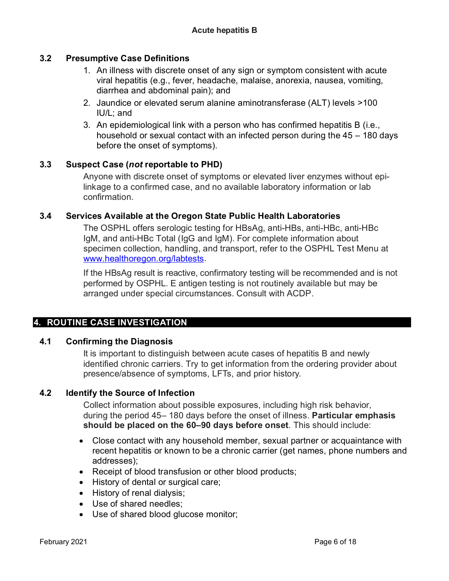## **3.2 Presumptive Case Definitions**

- 1. An illness with discrete onset of any sign or symptom consistent with acute viral hepatitis (e.g., fever, headache, malaise, anorexia, nausea, vomiting, diarrhea and abdominal pain); and
- 2. Jaundice or elevated serum alanine aminotransferase (ALT) levels >100 IU/L; and
- 3. An epidemiological link with a person who has confirmed hepatitis B (i.e., household or sexual contact with an infected person during the 45 – 180 days before the onset of symptoms).

## **3.3 Suspect Case (***not* **reportable to PHD)**

Anyone with discrete onset of symptoms or elevated liver enzymes without epilinkage to a confirmed case, and no available laboratory information or lab confirmation.

## **3.4 Services Available at the Oregon State Public Health Laboratories**

The OSPHL offers serologic testing for HBsAg, anti-HBs, anti-HBc, anti-HBc IgM, and anti-HBc Total (IgG and IgM). For complete information about specimen collection, handling, and transport, refer to the OSPHL Test Menu at [www.healthoregon.org/labtests.](http://www.healthoregon.org/labtests)

If the HBsAg result is reactive, confirmatory testing will be recommended and is not performed by OSPHL. E antigen testing is not routinely available but may be arranged under special circumstances. Consult with ACDP.

## **4. ROUTINE CASE INVESTIGATION**

## **4.1 Confirming the Diagnosis**

It is important to distinguish between acute cases of hepatitis B and newly identified chronic carriers. Try to get information from the ordering provider about presence/absence of symptoms, LFTs, and prior history.

## **4.2 Identify the Source of Infection**

Collect information about possible exposures, including high risk behavior, during the period 45– 180 days before the onset of illness. **Particular emphasis should be placed on the 60–90 days before onset**. This should include:

- Close contact with any household member, sexual partner or acquaintance with recent hepatitis or known to be a chronic carrier (get names, phone numbers and addresses);
- Receipt of blood transfusion or other blood products;
- History of dental or surgical care;
- History of renal dialysis;
- Use of shared needles;
- Use of shared blood glucose monitor;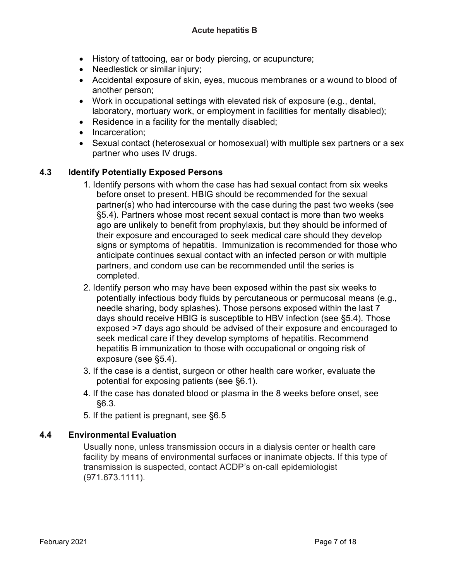- History of tattooing, ear or body piercing, or acupuncture;
- Needlestick or similar injury;
- Accidental exposure of skin, eyes, mucous membranes or a wound to blood of another person;
- Work in occupational settings with elevated risk of exposure (e.g., dental, laboratory, mortuary work, or employment in facilities for mentally disabled);
- Residence in a facility for the mentally disabled;
- Incarceration;
- Sexual contact (heterosexual or homosexual) with multiple sex partners or a sex partner who uses IV drugs.

## **4.3 Identify Potentially Exposed Persons**

- 1. Identify persons with whom the case has had sexual contact from six weeks before onset to present. HBIG should be recommended for the sexual partner(s) who had intercourse with the case during the past two weeks (see §5.4). Partners whose most recent sexual contact is more than two weeks ago are unlikely to benefit from prophylaxis, but they should be informed of their exposure and encouraged to seek medical care should they develop signs or symptoms of hepatitis. Immunization is recommended for those who anticipate continues sexual contact with an infected person or with multiple partners, and condom use can be recommended until the series is completed.
- 2. Identify person who may have been exposed within the past six weeks to potentially infectious body fluids by percutaneous or permucosal means (e.g., needle sharing, body splashes). Those persons exposed within the last 7 days should receive HBIG is susceptible to HBV infection (see §5.4). Those exposed >7 days ago should be advised of their exposure and encouraged to seek medical care if they develop symptoms of hepatitis. Recommend hepatitis B immunization to those with occupational or ongoing risk of exposure (see §5.4).
- 3. If the case is a dentist, surgeon or other health care worker, evaluate the potential for exposing patients (see §6.1).
- 4. If the case has donated blood or plasma in the 8 weeks before onset, see §6.3.
- 5. If the patient is pregnant, see §6.5

## **4.4 Environmental Evaluation**

Usually none, unless transmission occurs in a dialysis center or health care facility by means of environmental surfaces or inanimate objects. If this type of transmission is suspected, contact ACDP's on-call epidemiologist (971.673.1111).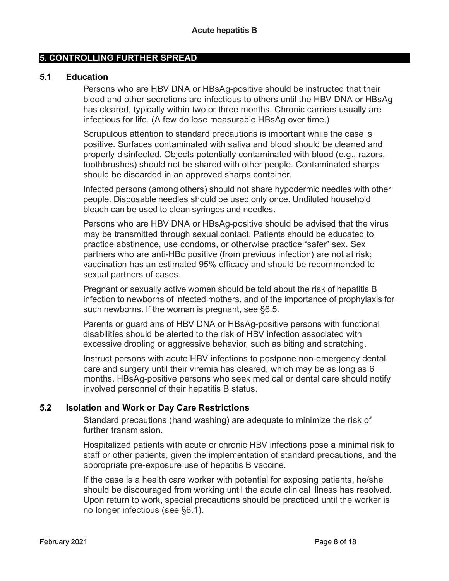## **5. CONTROLLING FURTHER SPREAD**

#### **5.1 Education**

Persons who are HBV DNA or HBsAg-positive should be instructed that their blood and other secretions are infectious to others until the HBV DNA or HBsAg has cleared, typically within two or three months. Chronic carriers usually are infectious for life. (A few do lose measurable HBsAg over time.)

Scrupulous attention to standard precautions is important while the case is positive. Surfaces contaminated with saliva and blood should be cleaned and properly disinfected. Objects potentially contaminated with blood (e.g., razors, toothbrushes) should not be shared with other people. Contaminated sharps should be discarded in an approved sharps container.

Infected persons (among others) should not share hypodermic needles with other people. Disposable needles should be used only once. Undiluted household bleach can be used to clean syringes and needles.

Persons who are HBV DNA or HBsAg-positive should be advised that the virus may be transmitted through sexual contact. Patients should be educated to practice abstinence, use condoms, or otherwise practice "safer" sex. Sex partners who are anti-HBc positive (from previous infection) are not at risk; vaccination has an estimated 95% efficacy and should be recommended to sexual partners of cases.

Pregnant or sexually active women should be told about the risk of hepatitis B infection to newborns of infected mothers, and of the importance of prophylaxis for such newborns. If the woman is pregnant, see §6.5.

Parents or guardians of HBV DNA or HBsAg-positive persons with functional disabilities should be alerted to the risk of HBV infection associated with excessive drooling or aggressive behavior, such as biting and scratching.

Instruct persons with acute HBV infections to postpone non-emergency dental care and surgery until their viremia has cleared, which may be as long as 6 months. HBsAg-positive persons who seek medical or dental care should notify involved personnel of their hepatitis B status.

## **5.2 Isolation and Work or Day Care Restrictions**

Standard precautions (hand washing) are adequate to minimize the risk of further transmission.

Hospitalized patients with acute or chronic HBV infections pose a minimal risk to staff or other patients, given the implementation of standard precautions, and the appropriate pre-exposure use of hepatitis B vaccine.

If the case is a health care worker with potential for exposing patients, he/she should be discouraged from working until the acute clinical illness has resolved. Upon return to work, special precautions should be practiced until the worker is no longer infectious (see §6.1).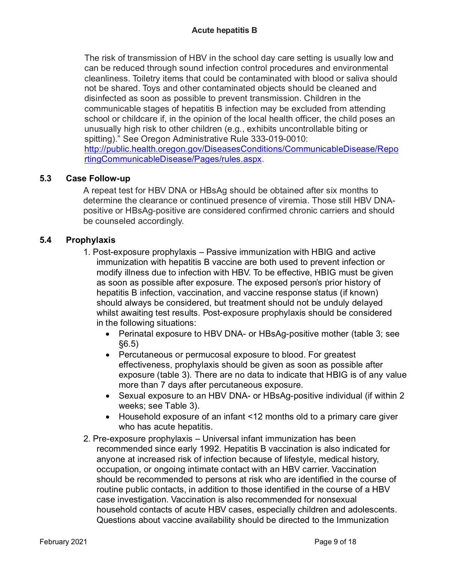The risk of transmission of HBV in the school day care setting is usually low and can be reduced through sound infection control procedures and environmental cleanliness. Toiletry items that could be contaminated with blood or saliva should not be shared. Toys and other contaminated objects should be cleaned and disinfected as soon as possible to prevent transmission. Children in the communicable stages of hepatitis B infection may be excluded from attending school or childcare if, in the opinion of the local health officer, the child poses an unusually high risk to other children (e.g., exhibits uncontrollable biting or spitting)." See Oregon Administrative Rule 333-019-0010: [http://public.health.oregon.gov/DiseasesConditions/CommunicableDisease/Repo](http://public.health.oregon.gov/DiseasesConditions/CommunicableDisease/ReportingCommunicableDisease/Pages/rules.aspx) [rtingCommunicableDisease/Pages/rules.aspx.](http://public.health.oregon.gov/DiseasesConditions/CommunicableDisease/ReportingCommunicableDisease/Pages/rules.aspx)

## **5.3 Case Follow-up**

A repeat test for HBV DNA or HBsAg should be obtained after six months to determine the clearance or continued presence of viremia. Those still HBV DNApositive or HBsAg-positive are considered confirmed chronic carriers and should be counseled accordingly.

## **5.4 Prophylaxis**

- 1. Post-exposure prophylaxis Passive immunization with HBIG and active immunization with hepatitis B vaccine are both used to prevent infection or modify illness due to infection with HBV. To be effective, HBIG must be given as soon as possible after exposure. The exposed person's prior history of hepatitis B infection, vaccination, and vaccine response status (if known) should always be considered, but treatment should not be unduly delayed whilst awaiting test results. Post-exposure prophylaxis should be considered in the following situations:
	- Perinatal exposure to HBV DNA- or HBsAg-positive mother (table 3; see §6.5)
	- Percutaneous or permucosal exposure to blood. For greatest effectiveness, prophylaxis should be given as soon as possible after exposure (table 3). There are no data to indicate that HBIG is of any value more than 7 days after percutaneous exposure.
	- Sexual exposure to an HBV DNA- or HBsAg-positive individual (if within 2) weeks; see Table 3).
	- Household exposure of an infant <12 months old to a primary care giver who has acute hepatitis.
- 2. Pre-exposure prophylaxis Universal infant immunization has been recommended since early 1992. Hepatitis B vaccination is also indicated for anyone at increased risk of infection because of lifestyle, medical history, occupation, or ongoing intimate contact with an HBV carrier. Vaccination should be recommended to persons at risk who are identified in the course of routine public contacts, in addition to those identified in the course of a HBV case investigation. Vaccination is also recommended for nonsexual household contacts of acute HBV cases, especially children and adolescents. Questions about vaccine availability should be directed to the Immunization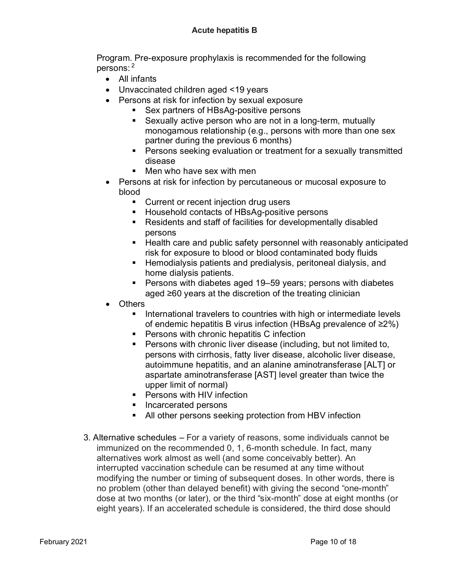Program. Pre-exposure prophylaxis is recommended for the following persons: <sup>2</sup>

- All infants
- Unvaccinated children aged <19 years
- Persons at risk for infection by sexual exposure
	- Sex partners of HBsAg-positive persons
	- Sexually active person who are not in a long-term, mutually monogamous relationship (e.g., persons with more than one sex partner during the previous 6 months)
	- **Persons seeking evaluation or treatment for a sexually transmitted** disease
	- Men who have sex with men
- Persons at risk for infection by percutaneous or mucosal exposure to blood
	- **Current or recent injection drug users**
	- Household contacts of HBsAg-positive persons
	- Residents and staff of facilities for developmentally disabled persons
	- Health care and public safety personnel with reasonably anticipated risk for exposure to blood or blood contaminated body fluids
	- **Hemodialysis patients and predialysis, peritoneal dialysis, and Fig. 2.** home dialysis patients.
	- Persons with diabetes aged 19–59 years; persons with diabetes aged ≥60 years at the discretion of the treating clinician
- Others
	- **International travelers to countries with high or intermediate levels** of endemic hepatitis B virus infection (HBsAg prevalence of ≥2%)
	- **Persons with chronic hepatitis C infection**
	- **Persons with chronic liver disease (including, but not limited to,** persons with cirrhosis, fatty liver disease, alcoholic liver disease, autoimmune hepatitis, and an alanine aminotransferase [ALT] or aspartate aminotransferase [AST] level greater than twice the upper limit of normal)
	- **Persons with HIV infection**
	- **Incarcerated persons**
	- All other persons seeking protection from HBV infection
- 3. Alternative schedules For a variety of reasons, some individuals cannot be immunized on the recommended 0, 1, 6-month schedule. In fact, many alternatives work almost as well (and some conceivably better). An interrupted vaccination schedule can be resumed at any time without modifying the number or timing of subsequent doses. In other words, there is no problem (other than delayed benefit) with giving the second "one-month" dose at two months (or later), or the third "six-month" dose at eight months (or eight years). If an accelerated schedule is considered, the third dose should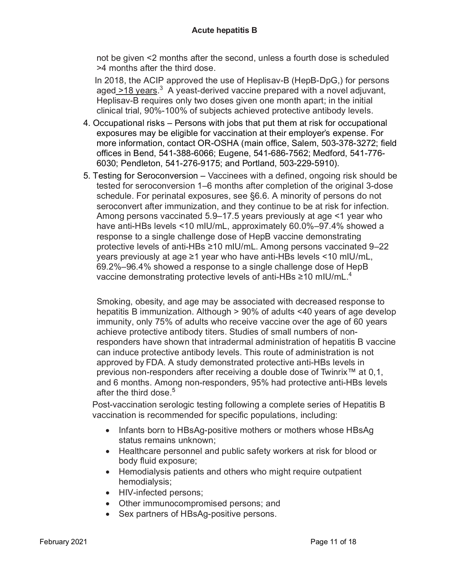not be given <2 months after the second, unless a fourth dose is scheduled >4 months after the third dose.

In 2018, the ACIP approved the use of Heplisav-B (HepB-DpG,) for persons aged\_>18 years.<sup>3</sup> A yeast-derived vaccine prepared with a novel adjuvant, Heplisav-B requires only two doses given one month apart; in the initial clinical trial, 90%-100% of subjects achieved protective antibody levels.

- 4. Occupational risks Persons with jobs that put them at risk for occupational exposures may be eligible for vaccination at their employer's expense. For more information, contact OR-OSHA (main office, Salem, 503-378-3272; field offices in Bend, 541-388-6066; Eugene, 541-686-7562; Medford, 541-776- 6030; Pendleton, 541-276-9175; and Portland, 503-229-5910).
- 5. Testing for Seroconversion Vaccinees with a defined, ongoing risk should be tested for seroconversion 1–6 months after completion of the original 3-dose schedule. For perinatal exposures, see §6.6. A minority of persons do not seroconvert after immunization, and they continue to be at risk for infection. Among persons vaccinated 5.9–17.5 years previously at age <1 year who have anti-HBs levels <10 mIU/mL, approximately 60.0%–97.4% showed a response to a single challenge dose of HepB vaccine demonstrating protective levels of anti-HBs ≥10 mIU/mL. Among persons vaccinated 9–22 years previously at age ≥1 year who have anti-HBs levels <10 mIU/mL, 69.2%–96.4% showed a response to a single challenge dose of HepB vaccine demonstrating protective levels of anti-HBs ≥10 mIU/mL.<sup>4</sup>

Smoking, obesity, and age may be associated with decreased response to hepatitis B immunization. Although > 90% of adults <40 years of age develop immunity, only 75% of adults who receive vaccine over the age of 60 years achieve protective antibody titers. Studies of small numbers of nonresponders have shown that intradermal administration of hepatitis B vaccine can induce protective antibody levels. This route of administration is not approved by FDA. A study demonstrated protective anti-HBs levels in previous non-responders after receiving a double dose of Twinrix™ at 0,1, and 6 months. Among non-responders, 95% had protective anti-HBs levels after the third dose.<sup>5</sup>

Post-vaccination serologic testing following a complete series of Hepatitis B vaccination is recommended for specific populations, including:

- Infants born to HBsAg-positive mothers or mothers whose HBsAg status remains unknown;
- Healthcare personnel and public safety workers at risk for blood or body fluid exposure;
- Hemodialysis patients and others who might require outpatient hemodialysis;
- HIV-infected persons;
- Other immunocompromised persons; and
- Sex partners of HBsAg-positive persons.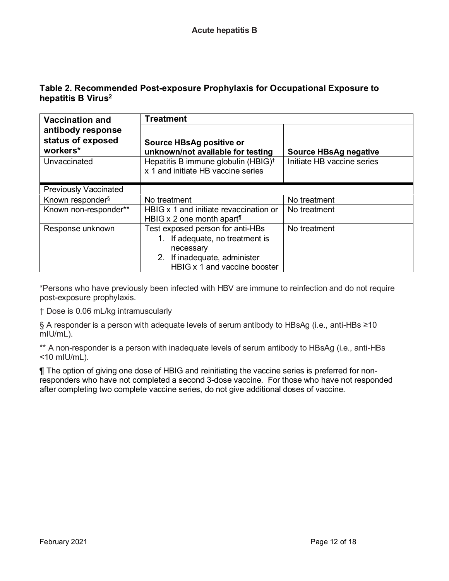## **Table 2. Recommended Post-exposure Prophylaxis for Occupational Exposure to hepatitis B Virus2**

| <b>Vaccination and</b>                             | <b>Treatment</b>                                                                       |                              |  |  |
|----------------------------------------------------|----------------------------------------------------------------------------------------|------------------------------|--|--|
| antibody response<br>status of exposed<br>workers* | Source HBsAg positive or<br>unknown/not available for testing                          | <b>Source HBsAg negative</b> |  |  |
| Unvaccinated                                       | Hepatitis B immune globulin (HBIG) <sup>t</sup><br>x 1 and initiate HB vaccine series  | Initiate HB vaccine series   |  |  |
| <b>Previously Vaccinated</b>                       |                                                                                        |                              |  |  |
| Known responder <sup>§</sup>                       | No treatment                                                                           | No treatment                 |  |  |
| Known non-responder**                              | HBIG x 1 and initiate revaccination or<br>HBIG $\times$ 2 one month apart <sup>1</sup> | No treatment                 |  |  |
| Response unknown                                   | Test exposed person for anti-HBs                                                       | No treatment                 |  |  |
|                                                    | 1. If adequate, no treatment is                                                        |                              |  |  |
|                                                    | necessary                                                                              |                              |  |  |
|                                                    | 2. If inadequate, administer                                                           |                              |  |  |
|                                                    | HBIG x 1 and vaccine booster                                                           |                              |  |  |

\*Persons who have previously been infected with HBV are immune to reinfection and do not require post-exposure prophylaxis.

† Dose is 0.06 mL/kg intramuscularly

§ A responder is a person with adequate levels of serum antibody to HBsAg (i.e., anti-HBs ≥10 mIU/mL).

\*\* A non-responder is a person with inadequate levels of serum antibody to HBsAg (i.e., anti-HBs <10 mIU/mL).

¶ The option of giving one dose of HBIG and reinitiating the vaccine series is preferred for nonresponders who have not completed a second 3-dose vaccine. For those who have not responded after completing two complete vaccine series, do not give additional doses of vaccine.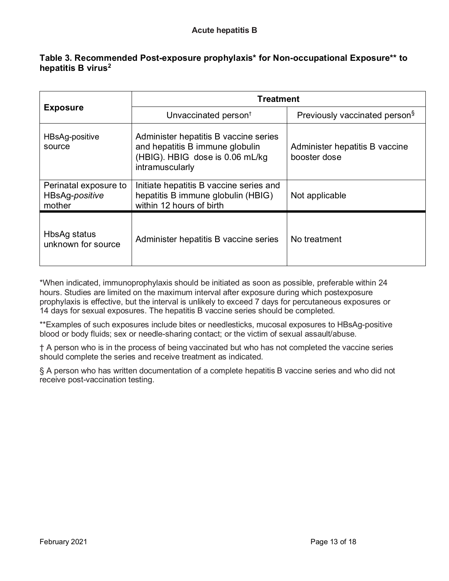## **Table 3. Recommended Post-exposure prophylaxis\* for Non-occupational Exposure\*\* to hepatitis B virus2**

| <b>Exposure</b>                                   | <b>Treatment</b>                                                                                                               |                                                |  |  |
|---------------------------------------------------|--------------------------------------------------------------------------------------------------------------------------------|------------------------------------------------|--|--|
|                                                   | Unvaccinated person <sup>t</sup>                                                                                               | Previously vaccinated person <sup>§</sup>      |  |  |
| HBsAg-positive<br>source                          | Administer hepatitis B vaccine series<br>and hepatitis B immune globulin<br>(HBIG). HBIG dose is 0.06 mL/kg<br>intramuscularly | Administer hepatitis B vaccine<br>booster dose |  |  |
| Perinatal exposure to<br>HBsAg-positive<br>mother | Initiate hepatitis B vaccine series and<br>hepatitis B immune globulin (HBIG)<br>within 12 hours of birth                      | Not applicable                                 |  |  |
| HbsAg status<br>unknown for source                | Administer hepatitis B vaccine series                                                                                          | No treatment                                   |  |  |

\*When indicated, immunoprophylaxis should be initiated as soon as possible, preferable within 24 hours. Studies are limited on the maximum interval after exposure during which postexposure prophylaxis is effective, but the interval is unlikely to exceed 7 days for percutaneous exposures or 14 days for sexual exposures. The hepatitis B vaccine series should be completed.

\*\*Examples of such exposures include bites or needlesticks, mucosal exposures to HBsAg-positive blood or body fluids; sex or needle-sharing contact; or the victim of sexual assault/abuse.

† A person who is in the process of being vaccinated but who has not completed the vaccine series should complete the series and receive treatment as indicated.

§ A person who has written documentation of a complete hepatitis B vaccine series and who did not receive post-vaccination testing.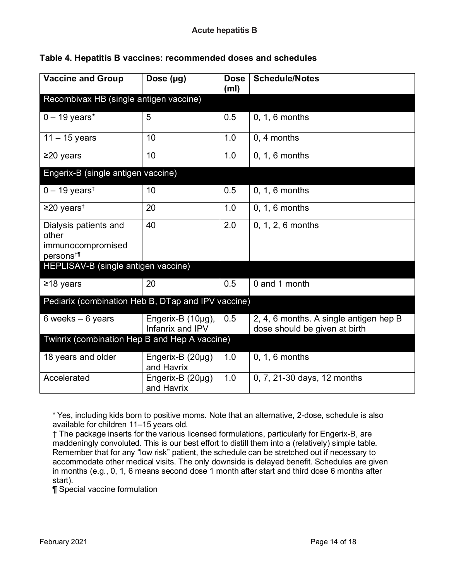| <b>Vaccine and Group</b>                                                    | Dose $(\mu g)$                        | <b>Dose</b><br>(m <sub>l</sub> ) | <b>Schedule/Notes</b>                                                   |  |  |
|-----------------------------------------------------------------------------|---------------------------------------|----------------------------------|-------------------------------------------------------------------------|--|--|
| Recombivax HB (single antigen vaccine)                                      |                                       |                                  |                                                                         |  |  |
| $0 - 19$ years*                                                             | 5                                     | 0.5                              | $0, 1, 6$ months                                                        |  |  |
| $11 - 15$ years                                                             | 10                                    | 1.0                              | 0, 4 months                                                             |  |  |
| $\geq$ 20 years                                                             | 10                                    | 1.0                              | $0, 1, 6$ months                                                        |  |  |
| Engerix-B (single antigen vaccine)                                          |                                       |                                  |                                                                         |  |  |
| $0 - 19$ years <sup>†</sup>                                                 | 10                                    | 0.5                              | $0, 1, 6$ months                                                        |  |  |
| $\geq$ 20 years <sup>†</sup>                                                | 20                                    | 1.0                              | 0, 1, 6 months                                                          |  |  |
| Dialysis patients and<br>other<br>immunocompromised<br>persons <sup>†</sup> | 40                                    | 2.0                              | 0, 1, 2, 6 months                                                       |  |  |
| HEPLISAV-B (single antigen vaccine)                                         |                                       |                                  |                                                                         |  |  |
| ≥18 years                                                                   | 20                                    | 0.5                              | 0 and 1 month                                                           |  |  |
| Pediarix (combination Heb B, DTap and IPV vaccine)                          |                                       |                                  |                                                                         |  |  |
| 6 weeks $-6$ years                                                          | Engerix-B (10µg),<br>Infanrix and IPV | 0.5                              | 2, 4, 6 months. A single antigen hep B<br>dose should be given at birth |  |  |
| Twinrix (combination Hep B and Hep A vaccine)                               |                                       |                                  |                                                                         |  |  |
| 18 years and older                                                          | Engerix-B (20µg)<br>and Havrix        | 1.0                              | $0, 1, 6$ months                                                        |  |  |
| Accelerated                                                                 | Engerix-B (20µg)<br>and Havrix        | 1.0                              | 0, 7, 21-30 days, 12 months                                             |  |  |

## **Table 4. Hepatitis B vaccines: recommended doses and schedules**

\* Yes, including kids born to positive moms. Note that an alternative, 2-dose, schedule is also available for children 11–15 years old.

† The package inserts for the various licensed formulations, particularly for Engerix-B, are maddeningly convoluted. This is our best effort to distill them into a (relatively) simple table. Remember that for any "low risk" patient, the schedule can be stretched out if necessary to accommodate other medical visits. The only downside is delayed benefit. Schedules are given in months (e.g., 0, 1, 6 means second dose 1 month after start and third dose 6 months after start).

¶ Special vaccine formulation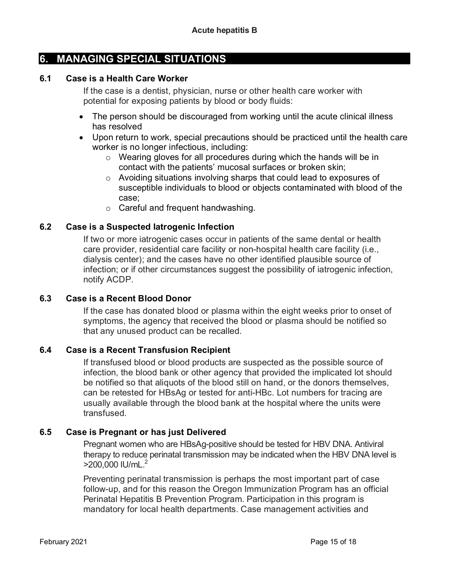## **6. MANAGING SPECIAL SITUATIONS**

#### **6.1 Case is a Health Care Worker**

If the case is a dentist, physician, nurse or other health care worker with potential for exposing patients by blood or body fluids:

- The person should be discouraged from working until the acute clinical illness has resolved
- Upon return to work, special precautions should be practiced until the health care worker is no longer infectious, including:
	- o Wearing gloves for all procedures during which the hands will be in contact with the patients' mucosal surfaces or broken skin;
	- o Avoiding situations involving sharps that could lead to exposures of susceptible individuals to blood or objects contaminated with blood of the case;
	- o Careful and frequent handwashing.

## **6.2 Case is a Suspected Iatrogenic Infection**

If two or more iatrogenic cases occur in patients of the same dental or health care provider, residential care facility or non-hospital health care facility (i.e., dialysis center); and the cases have no other identified plausible source of infection; or if other circumstances suggest the possibility of iatrogenic infection, notify ACDP.

## **6.3 Case is a Recent Blood Donor**

If the case has donated blood or plasma within the eight weeks prior to onset of symptoms, the agency that received the blood or plasma should be notified so that any unused product can be recalled.

## **6.4 Case is a Recent Transfusion Recipient**

If transfused blood or blood products are suspected as the possible source of infection, the blood bank or other agency that provided the implicated lot should be notified so that aliquots of the blood still on hand, or the donors themselves, can be retested for HBsAg or tested for anti-HBc. Lot numbers for tracing are usually available through the blood bank at the hospital where the units were transfused.

## **6.5 Case is Pregnant or has just Delivered**

Pregnant women who are HBsAg-positive should be tested for HBV DNA. Antiviral therapy to reduce perinatal transmission may be indicated when the HBV DNA level is >200,000 IU/mL.2

Preventing perinatal transmission is perhaps the most important part of case follow-up, and for this reason the Oregon Immunization Program has an official Perinatal Hepatitis B Prevention Program. Participation in this program is mandatory for local health departments. Case management activities and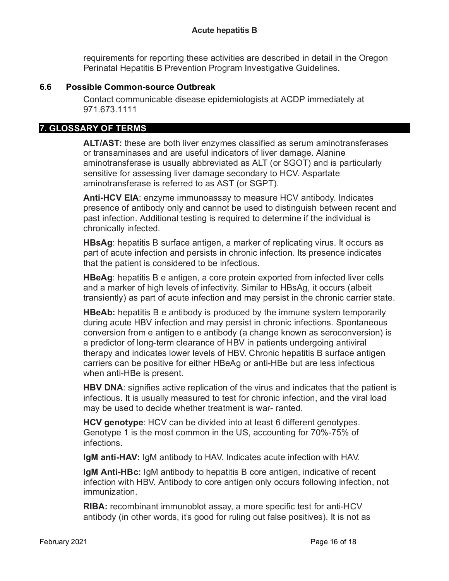requirements for reporting these activities are described in detail in the Oregon Perinatal Hepatitis B Prevention Program Investigative Guidelines.

## **6.6 Possible Common-source Outbreak**

Contact communicable disease epidemiologists at ACDP immediately at 971.673.1111

## **7. GLOSSARY OF TERMS**

**ALT/AST:** these are both liver enzymes classified as serum aminotransferases or transaminases and are useful indicators of liver damage. Alanine aminotransferase is usually abbreviated as ALT (or SGOT) and is particularly sensitive for assessing liver damage secondary to HCV. Aspartate aminotransferase is referred to as AST (or SGPT).

**Anti-HCV EIA**: enzyme immunoassay to measure HCV antibody. Indicates presence of antibody only and cannot be used to distinguish between recent and past infection. Additional testing is required to determine if the individual is chronically infected.

**HBsAg**: hepatitis B surface antigen, a marker of replicating virus. It occurs as part of acute infection and persists in chronic infection. Its presence indicates that the patient is considered to be infectious.

**HBeAg**: hepatitis B e antigen, a core protein exported from infected liver cells and a marker of high levels of infectivity. Similar to HBsAg, it occurs (albeit transiently) as part of acute infection and may persist in the chronic carrier state.

**HBeAb:** hepatitis B e antibody is produced by the immune system temporarily during acute HBV infection and may persist in chronic infections. Spontaneous conversion from e antigen to e antibody (a change known as seroconversion) is a predictor of long-term clearance of HBV in patients undergoing antiviral therapy and indicates lower levels of HBV. Chronic hepatitis B surface antigen carriers can be positive for either HBeAg or anti-HBe but are less infectious when anti-HBe is present.

**HBV DNA**: signifies active replication of the virus and indicates that the patient is infectious. It is usually measured to test for chronic infection, and the viral load may be used to decide whether treatment is war- ranted.

**HCV genotype**: HCV can be divided into at least 6 different genotypes. Genotype 1 is the most common in the US, accounting for 70%-75% of infections.

**IgM anti-HAV:** IgM antibody to HAV. Indicates acute infection with HAV.

**IgM Anti-HBc:** IgM antibody to hepatitis B core antigen, indicative of recent infection with HBV. Antibody to core antigen only occurs following infection, not immunization.

**RIBA:** recombinant immunoblot assay, a more specific test for anti-HCV antibody (in other words, it's good for ruling out false positives). It is not as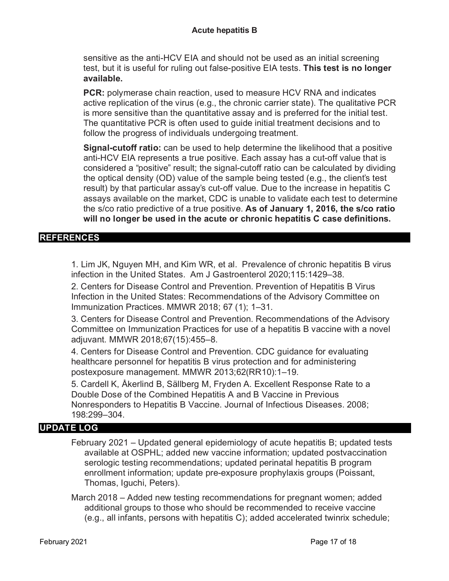sensitive as the anti-HCV EIA and should not be used as an initial screening test, but it is useful for ruling out false-positive EIA tests. **This test is no longer available.**

**PCR:** polymerase chain reaction, used to measure HCV RNA and indicates active replication of the virus (e.g., the chronic carrier state). The qualitative PCR is more sensitive than the quantitative assay and is preferred for the initial test. The quantitative PCR is often used to guide initial treatment decisions and to follow the progress of individuals undergoing treatment.

**Signal-cutoff ratio:** can be used to help determine the likelihood that a positive anti-HCV EIA represents a true positive. Each assay has a cut-off value that is considered a "positive" result; the signal-cutoff ratio can be calculated by dividing the optical density (OD) value of the sample being tested (e.g., the client's test result) by that particular assay's cut-off value. Due to the increase in hepatitis C assays available on the market, CDC is unable to validate each test to determine the s/co ratio predictive of a true positive. **As of January 1, 2016, the s/co ratio will no longer be used in the acute or chronic hepatitis C case definitions.**

## **REFERENCES**

1. Lim JK, Nguyen MH, and Kim WR, et al. Prevalence of chronic hepatitis B virus infection in the United States. Am J Gastroenterol 2020;115:1429–38.

2. Centers for Disease Control and Prevention. Prevention of Hepatitis B Virus Infection in the United States: Recommendations of the Advisory Committee on Immunization Practices. MMWR 2018; 67 (1); 1–31.

3. Centers for Disease Control and Prevention. Recommendations of the Advisory Committee on Immunization Practices for use of a hepatitis B vaccine with a novel adjuvant. MMWR 2018;67(15):455–8.

4. Centers for Disease Control and Prevention. CDC guidance for evaluating healthcare personnel for hepatitis B virus protection and for administering postexposure management. MMWR 2013;62(RR10):1–19.

5. Cardell K, Åkerlind B, Sällberg M, Fryden A. Excellent Response Rate to a Double Dose of the Combined Hepatitis A and B Vaccine in Previous Nonresponders to Hepatitis B Vaccine. Journal of Infectious Diseases. 2008; 198:299–304.

## **UPDATE LOG**

February 2021 – Updated general epidemiology of acute hepatitis B; updated tests available at OSPHL; added new vaccine information; updated postvaccination serologic testing recommendations; updated perinatal hepatitis B program enrollment information; update pre-exposure prophylaxis groups (Poissant, Thomas, Iguchi, Peters).

March 2018 – Added new testing recommendations for pregnant women; added additional groups to those who should be recommended to receive vaccine (e.g., all infants, persons with hepatitis C); added accelerated twinrix schedule;